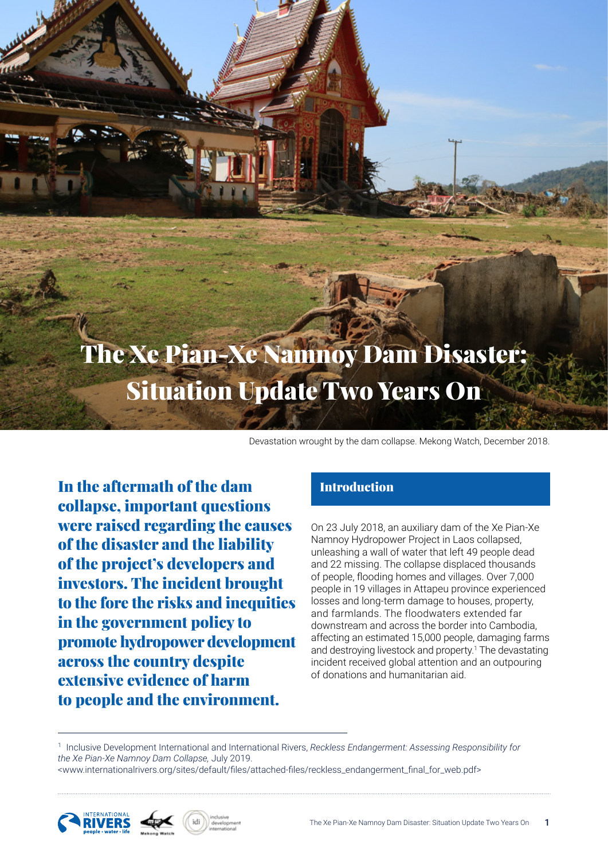# The Xe Pian-Xe Namnoy Dam Disaster: Situation Update Two Years On

Devastation wrought by the dam collapse. Mekong Watch, December 2018.

In the aftermath of the dam collapse, important questions were raised regarding the causes of the disaster and the liability of the project's developers and investors. The incident brought to the fore the risks and inequities in the government policy to promote hydropower development across the country despite extensive evidence of harm to people and the environment.

## Introduction

On 23 July 2018, an auxiliary dam of the Xe Pian-Xe Namnoy Hydropower Project in Laos collapsed, unleashing a wall of water that left 49 people dead and 22 missing. The collapse displaced thousands of people, flooding homes and villages. Over 7,000 people in 19 villages in Attapeu province experienced losses and long-term damage to houses, property, and farmlands. The floodwaters extended far downstream and across the border into Cambodia, affecting an estimated 15,000 people, damaging farms and destroying livestock and property.<sup>1</sup> The devastating incident received global attention and an outpouring of donations and humanitarian aid.

1 Inclusive Development International and International Rivers, *Reckless Endangerment: Assessing Responsibility for the Xe Pian-Xe Namnoy Dam Collapse,* July 2019.

<www.internationalrivers.org/sites/default/files/attached-files/reckless\_endangerment\_final\_for\_web.pdf>



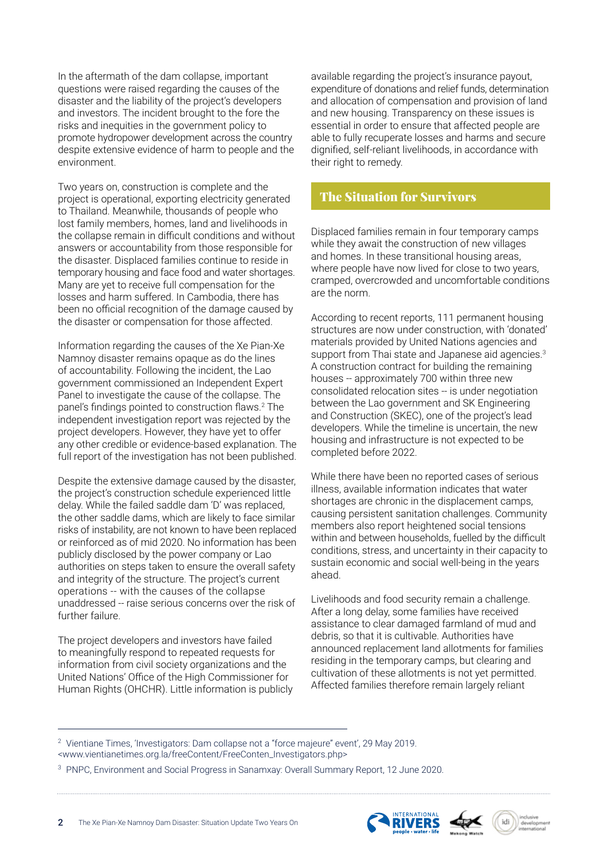In the aftermath of the dam collapse, important questions were raised regarding the causes of the disaster and the liability of the project's developers and investors. The incident brought to the fore the risks and inequities in the government policy to promote hydropower development across the country despite extensive evidence of harm to people and the environment.

Two years on, construction is complete and the project is operational, exporting electricity generated to Thailand. Meanwhile, thousands of people who lost family members, homes, land and livelihoods in the collapse remain in difficult conditions and without answers or accountability from those responsible for the disaster. Displaced families continue to reside in temporary housing and face food and water shortages. Many are yet to receive full compensation for the losses and harm suffered. In Cambodia, there has been no official recognition of the damage caused by the disaster or compensation for those affected.

Information regarding the causes of the Xe Pian-Xe Namnoy disaster remains opaque as do the lines of accountability. Following the incident, the Lao government commissioned an Independent Expert Panel to investigate the cause of the collapse. The panel's findings pointed to construction flaws.<sup>2</sup> The independent investigation report was rejected by the project developers. However, they have yet to offer any other credible or evidence-based explanation. The full report of the investigation has not been published.

Despite the extensive damage caused by the disaster, the project's construction schedule experienced little delay. While the failed saddle dam 'D' was replaced, the other saddle dams, which are likely to face similar risks of instability, are not known to have been replaced or reinforced as of mid 2020. No information has been publicly disclosed by the power company or Lao authorities on steps taken to ensure the overall safety and integrity of the structure. The project's current operations -- with the causes of the collapse unaddressed -- raise serious concerns over the risk of further failure.

The project developers and investors have failed to meaningfully respond to repeated requests for information from civil society organizations and the United Nations' Office of the High Commissioner for Human Rights (OHCHR). Little information is publicly available regarding the project's insurance payout, expenditure of donations and relief funds, determination and allocation of compensation and provision of land and new housing. Transparency on these issues is essential in order to ensure that affected people are able to fully recuperate losses and harms and secure dignified, self-reliant livelihoods, in accordance with their right to remedy.

## The Situation for Survivors

Displaced families remain in four temporary camps while they await the construction of new villages and homes. In these transitional housing areas, where people have now lived for close to two years, cramped, overcrowded and uncomfortable conditions are the norm.

According to recent reports, 111 permanent housing structures are now under construction, with 'donated' materials provided by United Nations agencies and support from Thai state and Japanese aid agencies.<sup>3</sup> A construction contract for building the remaining houses -- approximately 700 within three new consolidated relocation sites -- is under negotiation between the Lao government and SK Engineering and Construction (SKEC), one of the project's lead developers. While the timeline is uncertain, the new housing and infrastructure is not expected to be completed before 2022.

While there have been no reported cases of serious illness, available information indicates that water shortages are chronic in the displacement camps, causing persistent sanitation challenges. Community members also report heightened social tensions within and between households, fuelled by the difficult conditions, stress, and uncertainty in their capacity to sustain economic and social well-being in the years ahead.

Livelihoods and food security remain a challenge. After a long delay, some families have received assistance to clear damaged farmland of mud and debris, so that it is cultivable. Authorities have announced replacement land allotments for families residing in the temporary camps, but clearing and cultivation of these allotments is not yet permitted. Affected families therefore remain largely reliant







<sup>&</sup>lt;sup>2</sup> Vientiane Times, 'Investigators: Dam collapse not a "force majeure" event', 29 May 2019. <www.vientianetimes.org.la/freeContent/FreeConten\_Investigators.php>

<sup>&</sup>lt;sup>3</sup> PNPC, Environment and Social Progress in Sanamxay: Overall Summary Report, 12 June 2020.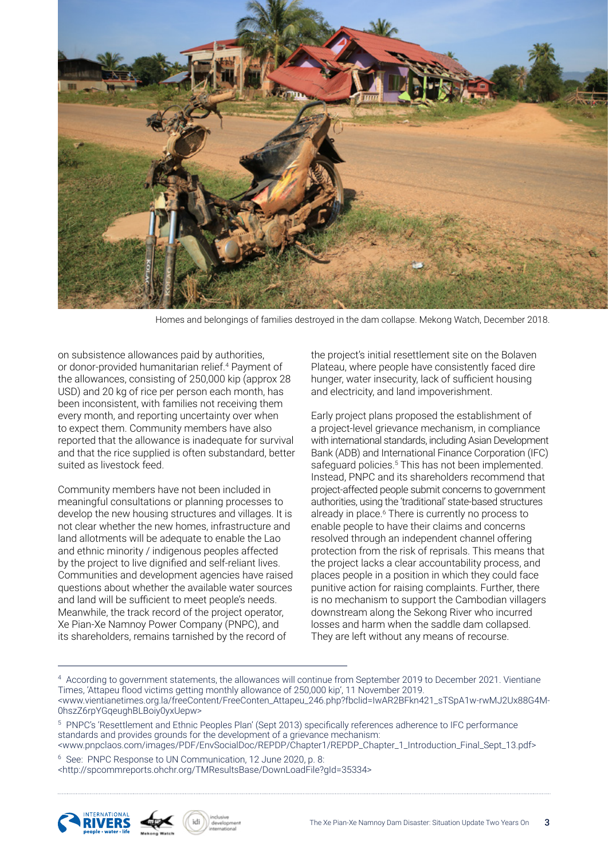

Homes and belongings of families destroyed in the dam collapse. Mekong Watch, December 2018.

on subsistence allowances paid by authorities, or donor-provided humanitarian relief.<sup>4</sup> Payment of the allowances, consisting of 250,000 kip (approx 28 USD) and 20 kg of rice per person each month, has been inconsistent, with families not receiving them every month, and reporting uncertainty over when to expect them. Community members have also reported that the allowance is inadequate for survival and that the rice supplied is often substandard, better suited as livestock feed.

Community members have not been included in meaningful consultations or planning processes to develop the new housing structures and villages. It is not clear whether the new homes, infrastructure and land allotments will be adequate to enable the Lao and ethnic minority / indigenous peoples affected by the project to live dignified and self-reliant lives. Communities and development agencies have raised questions about whether the available water sources and land will be sufficient to meet people's needs. Meanwhile, the track record of the project operator, Xe Pian-Xe Namnoy Power Company (PNPC), and its shareholders, remains tarnished by the record of

the project's initial resettlement site on the Bolaven Plateau, where people have consistently faced dire hunger, water insecurity, lack of sufficient housing and electricity, and land impoverishment.

Early project plans proposed the establishment of a project-level grievance mechanism, in compliance with international standards, including Asian Development Bank (ADB) and International Finance Corporation (IFC) safeguard policies.<sup>5</sup> This has not been implemented. Instead, PNPC and its shareholders recommend that project-affected people submit concerns to government authorities, using the 'traditional' state-based structures already in place.<sup>6</sup> There is currently no process to enable people to have their claims and concerns resolved through an independent channel offering protection from the risk of reprisals. This means that the project lacks a clear accountability process, and places people in a position in which they could face punitive action for raising complaints. Further, there is no mechanism to support the Cambodian villagers downstream along the Sekong River who incurred losses and harm when the saddle dam collapsed. They are left without any means of recourse.

5 PNPC's 'Resettlement and Ethnic Peoples Plan' (Sept 2013) specifically references adherence to IFC performance standards and provides grounds for the development of a grievance mechanism:

<www.pnpclaos.com/images/PDF/EnvSocialDoc/REPDP/Chapter1/REPDP\_Chapter\_1\_Introduction\_Final\_Sept\_13.pdf> 6 See: PNPC Response to UN Communication, 12 June 2020, p. 8:

<http://spcommreports.ohchr.org/TMResultsBase/DownLoadFile?gId=35334>





<sup>4</sup> According to government statements, the allowances will continue from September 2019 to December 2021. Vientiane Times, 'Attapeu flood victims getting monthly allowance of 250,000 kip', 11 November 2019. <www.vientianetimes.org.la/freeContent/FreeConten\_Attapeu\_246.php?fbclid=IwAR2BFkn421\_sTSpA1w-rwMJ2Ux88G4M-0hszZ6rpYGqeughBLBoiy0yxUepw>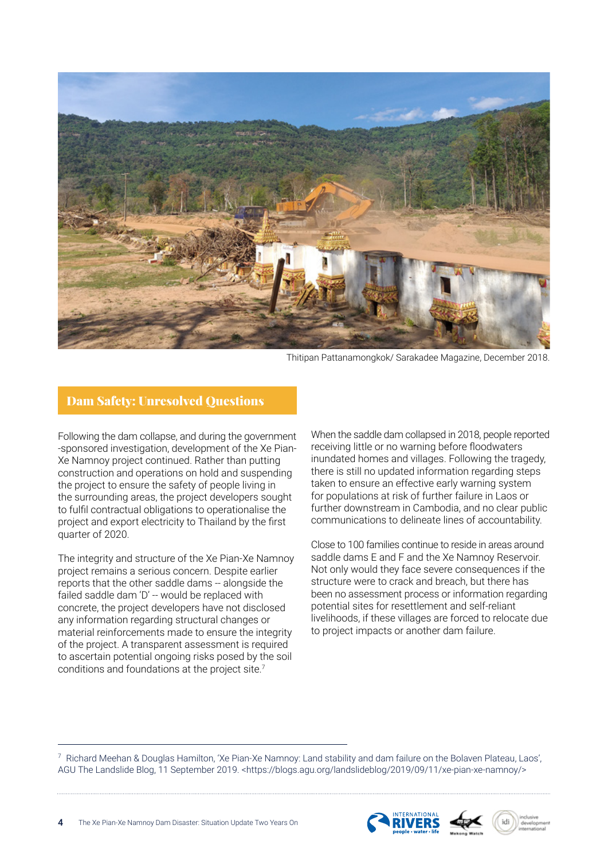

Thitipan Pattanamongkok/ Sarakadee Magazine, December 2018.

#### Dam Safety: Unresolved Questions

Following the dam collapse, and during the government -sponsored investigation, development of the Xe Pian-Xe Namnoy project continued. Rather than putting construction and operations on hold and suspending the project to ensure the safety of people living in the surrounding areas, the project developers sought to fulfil contractual obligations to operationalise the project and export electricity to Thailand by the first quarter of 2020.

The integrity and structure of the Xe Pian-Xe Namnoy project remains a serious concern. Despite earlier reports that the other saddle dams -- alongside the failed saddle dam 'D' -- would be replaced with concrete, the project developers have not disclosed any information regarding structural changes or material reinforcements made to ensure the integrity of the project. A transparent assessment is required to ascertain potential ongoing risks posed by the soil conditions and foundations at the project site.<sup>7</sup>

When the saddle dam collapsed in 2018, people reported receiving little or no warning before floodwaters inundated homes and villages. Following the tragedy, there is still no updated information regarding steps taken to ensure an effective early warning system for populations at risk of further failure in Laos or further downstream in Cambodia, and no clear public communications to delineate lines of accountability.

Close to 100 families continue to reside in areas around saddle dams E and F and the Xe Namnoy Reservoir. Not only would they face severe consequences if the structure were to crack and breach, but there has been no assessment process or information regarding potential sites for resettlement and self-reliant livelihoods, if these villages are forced to relocate due to project impacts or another dam failure.

7 Richard Meehan & Douglas Hamilton, 'Xe Pian-Xe Namnoy: Land stability and dam failure on the Bolaven Plateau, Laos', AGU The Landslide Blog, 11 September 2019. <https://blogs.agu.org/landslideblog/2019/09/11/xe-pian-xe-namnoy/>



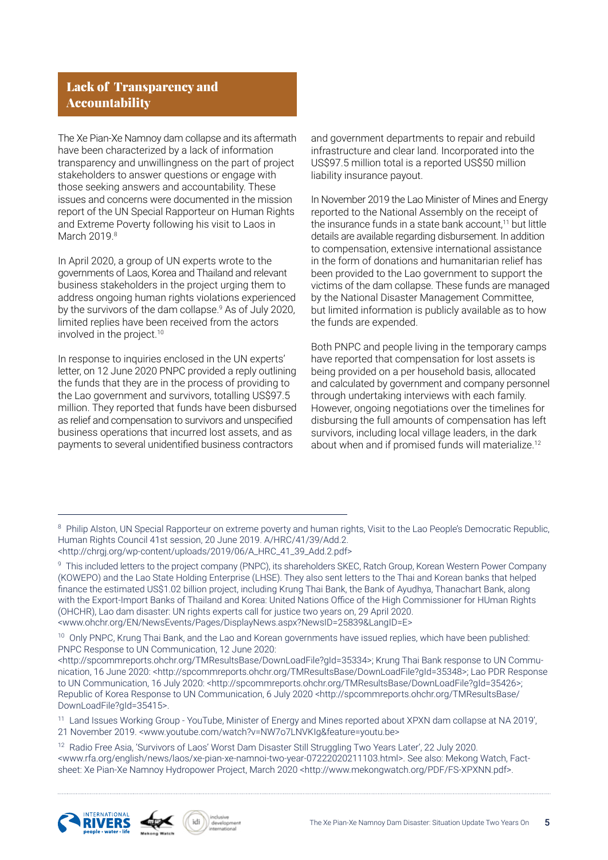## Lack of Transparency and Accountability

The Xe Pian-Xe Namnoy dam collapse and its aftermath have been characterized by a lack of information transparency and unwillingness on the part of project stakeholders to answer questions or engage with those seeking answers and accountability. These issues and concerns were documented in the mission report of the UN Special Rapporteur on Human Rights and Extreme Poverty following his visit to Laos in March 2019.8

In April 2020, a group of UN experts wrote to the governments of Laos, Korea and Thailand and relevant business stakeholders in the project urging them to address ongoing human rights violations experienced by the survivors of the dam collapse.<sup>9</sup> As of July 2020, limited replies have been received from the actors involved in the project.<sup>10</sup>

In response to inquiries enclosed in the UN experts' letter, on 12 June 2020 PNPC provided a reply outlining the funds that they are in the process of providing to the Lao government and survivors, totalling US\$97.5 million. They reported that funds have been disbursed as relief and compensation to survivors and unspecified business operations that incurred lost assets, and as payments to several unidentified business contractors

and government departments to repair and rebuild infrastructure and clear land. Incorporated into the US\$97.5 million total is a reported US\$50 million liability insurance payout.

In November 2019 the Lao Minister of Mines and Energy reported to the National Assembly on the receipt of the insurance funds in a state bank account,<sup>11</sup> but little details are available regarding disbursement. In addition to compensation, extensive international assistance in the form of donations and humanitarian relief has been provided to the Lao government to support the victims of the dam collapse. These funds are managed by the National Disaster Management Committee, but limited information is publicly available as to how the funds are expended.

Both PNPC and people living in the temporary camps have reported that compensation for lost assets is being provided on a per household basis, allocated and calculated by government and company personnel through undertaking interviews with each family. However, ongoing negotiations over the timelines for disbursing the full amounts of compensation has left survivors, including local village leaders, in the dark about when and if promised funds will materialize.<sup>12</sup>

<sup>10</sup> Only PNPC, Krung Thai Bank, and the Lao and Korean governments have issued replies, which have been published: PNPC Response to UN Communication, 12 June 2020:

<http://spcommreports.ohchr.org/TMResultsBase/DownLoadFile?gId=35334>; Krung Thai Bank response to UN Communication, 16 June 2020: <http://spcommreports.ohchr.org/TMResultsBase/DownLoadFile?gId=35348>; Lao PDR Response to UN Communication, 16 July 2020: <http://spcommreports.ohchr.org/TMResultsBase/DownLoadFile?gId=35426>; Republic of Korea Response to UN Communication, 6 July 2020 <http://spcommreports.ohchr.org/TMResultsBase/ DownLoadFile?gId=35415>.

<sup>11</sup> Land Issues Working Group - YouTube, Minister of Energy and Mines reported about XPXN dam collapse at NA 2019', 21 November 2019. <www.youtube.com/watch?v=NW7o7LNVKIg&feature=youtu.be>

<sup>12</sup> Radio Free Asia, 'Survivors of Laos' Worst Dam Disaster Still Struggling Two Years Later', 22 July 2020. <www.rfa.org/english/news/laos/xe-pian-xe-namnoi-two-year-07222020211103.html>. See also: Mekong Watch, Factsheet: Xe Pian-Xe Namnoy Hydropower Project, March 2020 <http://www.mekongwatch.org/PDF/FS-XPXNN.pdf>.





<sup>&</sup>lt;sup>8</sup> Philip Alston, UN Special Rapporteur on extreme poverty and human rights, Visit to the Lao People's Democratic Republic, Human Rights Council 41st session, 20 June 2019. A/HRC/41/39/Add.2. <http://chrgj.org/wp-content/uploads/2019/06/A\_HRC\_41\_39\_Add.2.pdf>

<sup>9</sup> This included letters to the project company (PNPC), its shareholders SKEC, Ratch Group, Korean Western Power Company (KOWEPO) and the Lao State Holding Enterprise (LHSE). They also sent letters to the Thai and Korean banks that helped finance the estimated US\$1.02 billion project, including Krung Thai Bank, the Bank of Ayudhya, Thanachart Bank, along with the Export-Import Banks of Thailand and Korea: United Nations Office of the High Commissioner for HUman Rights (OHCHR), Lao dam disaster: UN rights experts call for justice two years on, 29 April 2020. <www.ohchr.org/EN/NewsEvents/Pages/DisplayNews.aspx?NewsID=25839&LangID=E>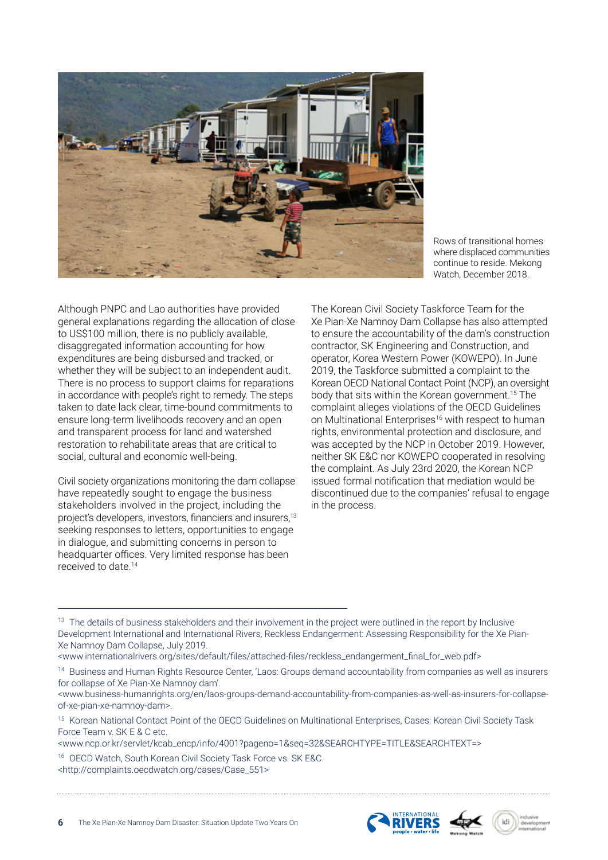

Rows of transitional homes where displaced communities continue to reside. Mekong Watch, December 2018.

Although PNPC and Lao authorities have provided general explanations regarding the allocation of close to US\$100 million, there is no publicly available, disaggregated information accounting for how expenditures are being disbursed and tracked, or whether they will be subject to an independent audit. There is no process to support claims for reparations in accordance with people's right to remedy. The steps taken to date lack clear, time-bound commitments to ensure long-term livelihoods recovery and an open and transparent process for land and watershed restoration to rehabilitate areas that are critical to social, cultural and economic well-being.

Civil society organizations monitoring the dam collapse have repeatedly sought to engage the business stakeholders involved in the project, including the project's developers, investors, financiers and insurers,<sup>13</sup> seeking responses to letters, opportunities to engage in dialogue, and submitting concerns in person to headquarter offices. Very limited response has been received to date.<sup>14</sup>

The Korean Civil Society Taskforce Team for the Xe Pian-Xe Namnoy Dam Collapse has also attempted to ensure the accountability of the dam's construction contractor, SK Engineering and Construction, and operator, Korea Western Power (KOWEPO). In June 2019, the Taskforce submitted a complaint to the Korean OECD National Contact Point (NCP), an oversight body that sits within the Korean government.15 The complaint alleges violations of the OECD Guidelines on Multinational Enterprises<sup>16</sup> with respect to human rights, environmental protection and disclosure, and was accepted by the NCP in October 2019. However, neither SK E&C nor KOWEPO cooperated in resolving the complaint. As July 23rd 2020, the Korean NCP issued formal notification that mediation would be discontinued due to the companies' refusal to engage in the process.

<sup>13</sup> The details of business stakeholders and their involvement in the project were outlined in the report by Inclusive Development International and International Rivers, Reckless Endangerment: Assessing Responsibility for the Xe Pian-Xe Namnoy Dam Collapse, July 2019.

<www.internationalrivers.org/sites/default/files/attached-files/reckless\_endangerment\_final\_for\_web.pdf>

<sup>14</sup> Business and Human Rights Resource Center, 'Laos: Groups demand accountability from companies as well as insurers for collapse of Xe Pian-Xe Namnoy dam'.

<www.business-humanrights.org/en/laos-groups-demand-accountability-from-companies-as-well-as-insurers-for-collapseof-xe-pian-xe-namnoy-dam>.

<sup>15</sup> Korean National Contact Point of the OECD Guidelines on Multinational Enterprises, Cases: Korean Civil Society Task Force Team v. SK E & C etc.

<www.ncp.or.kr/servlet/kcab\_encp/info/4001?pageno=1&seq=32&SEARCHTYPE=TITLE&SEARCHTEXT=>

16 OECD Watch, South Korean Civil Society Task Force vs. SK E&C. <http://complaints.oecdwatch.org/cases/Case\_551>